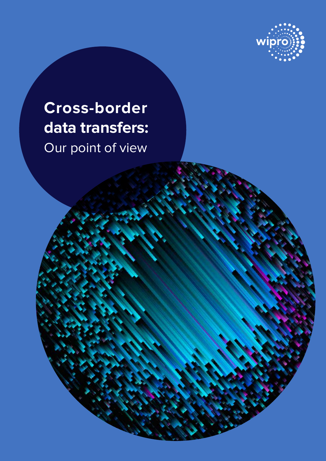

# **Cross-border data transfers:** Our point of view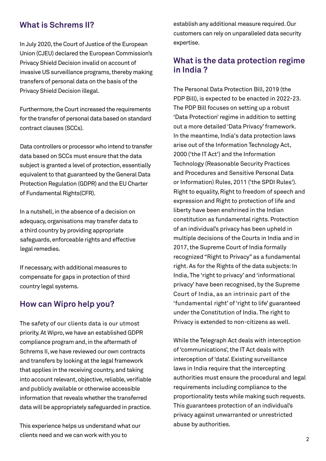## **What is Schrems II?**

In July 2020, the Court of Justice of the European Union (CJEU) declared the European Commission's Privacy Shield Decision invalid on account of invasive US surveillance programs, thereby making transfers of personal data on the basis of the Privacy Shield Decision illegal.

Furthermore, the Court increased the requirements for the transfer of personal data based on standard contract clauses (SCCs).

 Data controllers or processor who intend to transfer data based on SCCs must ensure that the data subject is granted a level of protection, essentially equivalent to that guaranteed by the General Data Protection Regulation (GDPR) and the EU Charter of Fundamental Rights(CFR).

In a nutshell, in the absence of a decision on adequacy, organisations may transfer data to a third country by providing appropriate safeguards, enforceable rights and effective legal remedies.

If necessary, with additional measures to compensate for gaps in protection of third country legal systems.

## **How can Wipro help you?**

The safety of our clients data is our utmost priority. At Wipro, we have an established GDPR compliance program and, in the aftermath of Schrems II, we have reviewed our own contracts and transfers by looking at the legal framework that applies in the receiving country, and taking into account relevant, objective, reliable, verifiable and publicly available or otherwise accessible information that reveals whether the transferred data will be appropriately safeguarded in practice.

This experience helps us understand what our clients need and we can work with you to

establish any additional measure required. Our customers can rely on unparalleled data security expertise.

## **What is the data protection regime in India ?**

The Personal Data Protection Bill, 2019 (the PDP Bill), is expected to be enacted in 2022-23. The PDP Bill focuses on setting up a robust 'Data Protection' regime in addition to setting out a more detailed 'Data Privacy' framework. In the meantime, India's data protection laws arise out of the Information Technology Act, 2000 ('the IT Act') and the Information Technology (Reasonable Security Practices and Procedures and Sensitive Personal Data or Information) Rules, 2011 ('the SPDI Rules'). Right to equality, Right to freedom of speech and expression and Right to protection of life and liberty have been enshrined in the Indian constitution as fundamental rights. Protection of an individual's privacy has been upheld in multiple decisions of the Courts in India and in 2017, the Supreme Court of India formally recognized "Right to Privacy" as a fundamental right. As for the Rights of the data subjects: In India, The 'right to privacy' and 'informational privacy' have been recognised, by the Supreme Court of India, as an intrinsic part of the 'fundamental right' of 'right to life' guaranteed under the Constitution of India. The right to Privacy is extended to non-citizens as well.

While the Telegraph Act deals with interception of 'communications', the IT Act deals with interception of 'data'. Existing surveillance laws in India require that the intercepting authorities must ensure the procedural and legal requirements including compliance to the proportionality tests while making such requests. This guarantees protection of an individual's privacy against unwarranted or unrestricted abuse by authorities.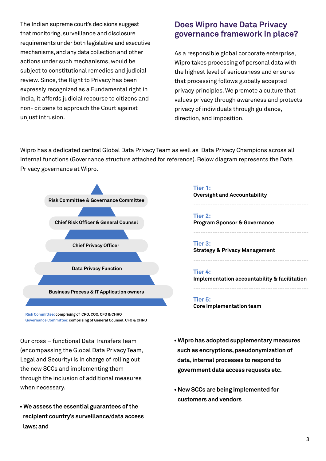The Indian supreme court's decisions suggest that monitoring, surveillance and disclosure requirements under both legislative and executive mechanisms, and any data collection and other actions under such mechanisms, would be subject to constitutional remedies and judicial review. Since, the Right to Privacy has been expressly recognized as a Fundamental right in India, it affords judicial recourse to citizens and non- citizens to approach the Court against unjust intrusion.

## **Does Wipro have Data Privacy governance framework in place?**

As a responsible global corporate enterprise, Wipro takes processing of personal data with the highest level of seriousness and ensures that processing follows globally accepted privacy principles. We promote a culture that values privacy through awareness and protects privacy of individuals through guidance, direction, and imposition.

Wipro has a dedicated central Global Data Privacy Team as well as Data Privacy Champions across all internal functions (Governance structure attached for reference). Below diagram represents the Data Privacy governance at Wipro.



**Risk Committee: comprising of CRO, COO, CFO & CHRO Governance Committee: comprising of General Counsel, CFO & CHRO**

Our cross – functional Data Transfers Team (encompassing the Global Data Privacy Team, Legal and Security) is in charge of rolling out the new SCCs and implementing them through the inclusion of additional measures when necessary.

**• We assess the essential guarantees of the recipient country's surveillance/data access laws; and** 

**Tier 1: Oversight and Accountability Tier 2: Program Sponsor & Governance Tier 3:**  ------------------------------------------------ ------------------------------------------------

**Strategy & Privacy Management**

### **Tier 4:**

**Implementation accountability & facilitation**

------------------------------------------------

------------------------------------------------

### **Tier 5:**

**Core Implementation team**

- **Wipro has adopted supplementary measures such as encryptions, pseudonymization of data, internal processes to respond to government data access requests etc.**
- **New SCCs are being implemented for customers and vendors**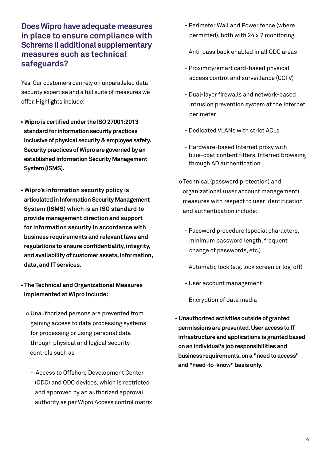## **Does Wipro have adequate measures in place to ensure compliance with Schrems II additional supplementary measures such as technical safeguards?**

Yes. Our customers can rely on unparalleled data security expertise and a full suite of measures we offer. Highlights include:

- **Wipro is certified under the ISO 27001:2013 standard for information security practices inclusive of physical security & employee safety. Security practices of Wipro are governed by an established Information Security Management System (ISMS).**
- **Wipro's Information security policy is articulated in Information Security Management System (ISMS) which is an ISO standard to provide management direction and support for information security in accordance with business requirements and relevant laws and regulations to ensure confidentiality, integrity, and availability of customer assets, information, data, and IT services.**
- **The Technical and Organizational Measures implemented at Wipro include:**
	- o Unauthorized persons are prevented from gaining access to data processing systems for processing or using personal data through physical and logical security controls such as
		- Access to Offshore Development Center (ODC) and ODC devices, which is restricted and approved by an authorized approval authority as per Wipro Access control matrix
- Perimeter Wall and Power fence (where permitted), both with 24 x 7 monitoring
- Anti-pass back enabled in all ODC areas
- Proximity/smart card-based physical access control and surveillance (CCTV)
- Dual-layer firewalls and network-based intrusion prevention system at the Internet perimeter
- Dedicated VLANs with strict ACLs
- Hardware-based Internet proxy with blue-coat content filters. Internet browsing through AD authentication
- o Technical (password protection) and organizational (user account management) measures with respect to user identification and authentication include:
	- Password procedure (special characters, minimum password length, frequent change of passwords, etc.)
	- Automatic lock (e.g. lock screen or log-off)
	- User account management
	- Encryption of data media
- **Unauthorized activities outside of granted permissions are prevented. User access to IT infrastructure and applications is granted based on an individual's job responsibilities and business requirements, on a "need to access" and "need-to-know" basis only.**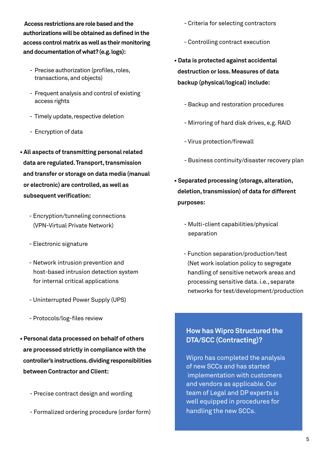**Access restrictions are role based and the authorizations will be obtained as defined in the access control matrix as well as their monitoring and documentation of what? (e.g. logs):**

- Precise authorization (profiles, roles, transactions, and objects)
- Frequent analysis and control of existing access rights
- Timely update, respective deletion
- Encryption of data
- **All aspects of transmitting personal related data are regulated. Transport, transmission and transfer or storage on data media (manual or electronic) are controlled, as well as subsequent verification:**
	- Encryption/tunneling connections (VPN-Virtual Private Network)
	- Electronic signature
	- Network intrusion prevention and host-based intrusion detection system for internal critical applications
	- Uninterrupted Power Supply (UPS)
	- Protocols/log-files review
- **Personal data processed on behalf of others are processed strictly in compliance with the controller's instructions. dividing responsibilities between Contractor and Client:**
	- Precise contract design and wording
	- Formalized ordering procedure (order form)
- Criteria for selecting contractors
- Controlling contract execution
- **Data is protected against accidental destruction or loss. Measures of data backup (physical/logical) include:**
	- Backup and restoration procedures
	- Mirroring of hard disk drives, e.g. RAID
	- Virus protection/firewall
	- Business continuity/disaster recovery plan
- **Separated processing (storage, alteration, deletion, transmission) of data for different purposes:**
	- Multi-client capabilities/physical separation
	- Function separation/production/test (Net work isolation policy to segregate handling of sensitive network areas and processing sensitive data. i.e., separate networks for test/development/production

## **How has Wipro Structured the DTA/SCC (Contracting)?**

Wipro has completed the analysis of new SCCs and has started implementation with customers and vendors as applicable. Our team of Legal and DP experts is well equipped in procedures for handling the new SCCs.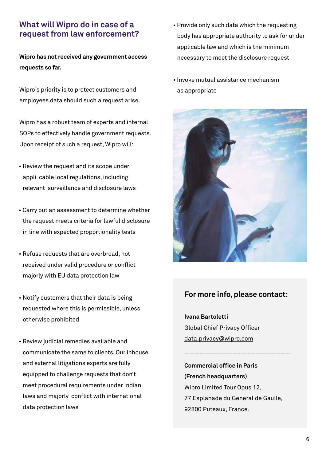## **What will Wipro do in case of a request from law enforcement?**

**Wipro has not received any government access requests so far.** 

Wipro´s priority is to protect customers and employees data should such a request arise.

Wipro has a robust team of experts and internal SOPs to effectively handle government requests. Upon receipt of such a request, Wipro will:

- Review the request and its scope under appli cable local regulations, including relevant surveillance and disclosure laws
- Carry out an assessment to determine whether the request meets criteria for lawful disclosure in line with expected proportionality tests
- Refuse requests that are overbroad, not received under valid procedure or conflict majorly with EU data protection law
- Notify customers that their data is being requested where this is permissible, unless otherwise prohibited
- Review judicial remedies available and communicate the same to clients. Our inhouse and external litigations experts are fully equipped to challenge requests that don't meet procedural requirements under Indian laws and majorly conflict with international data protection laws
- Provide only such data which the requesting body has appropriate authority to ask for under applicable law and which is the minimum necessary to meet the disclosure request
- Invoke mutual assistance mechanism as appropriate



## **For more info, please contact:**

**Ivana Bartoletti** Global Chief Privacy Officer data.privacy@wipro.com

**Commercial office in Paris (French headquarters)** Wipro Limited Tour Opus 12, 77 Esplanade du General de Gaulle, 92800 Puteaux, France.

**------------------------------------------**